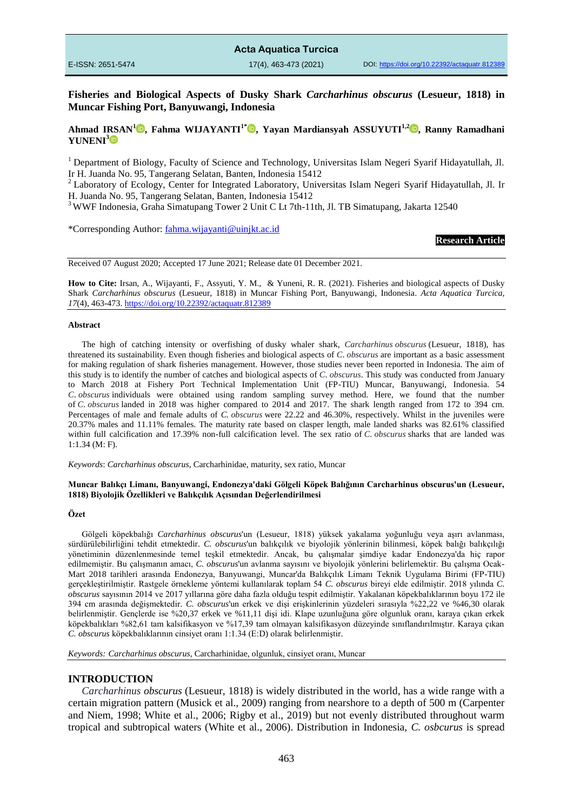**Fisheries and Biological Aspects of Dusky Shark** *Carcharhinus obscurus* **(Lesueur, 1818) in Muncar Fishing Port, Banyuwangi, Indonesia**

## **Ahmad IRSAN[1](https://orcid.org/0000-0000-0000-0000) , Fahma WIJAYANTI1\* , Yayan Mardiansyah ASSUYUTI1,[2](https://orcid.org/0000-0002-3254-5414) , Ranny Ramadhani YUNENI<sup>3</sup>**

<sup>1</sup> Department of Biology, Faculty of Science and Technology, Universitas Islam Negeri Syarif Hidayatullah, Jl. Ir H. Juanda No. 95, Tangerang Selatan, Banten, Indonesia 15412

<sup>2</sup> Laboratory of Ecology, Center for Integrated Laboratory, Universitas Islam Negeri Syarif Hidayatullah, Jl. Ir H. Juanda No. 95, Tangerang Selatan, Banten, Indonesia 15412

<sup>3</sup> WWF Indonesia, Graha Simatupang Tower 2 Unit C Lt 7th-11th, Jl. TB Simatupang, Jakarta 12540

\*Corresponding Author: [fahma.wijayanti@uinjkt.ac.id](mailto:fahma.wijayanti@uinjkt.ac.id)

**Research Article**

Received 07 August 2020; Accepted 17 June 2021; Release date 01 December 2021.

**How to Cite:** Irsan, A., Wijayanti, F., Assyuti, Y. M., & Yuneni, R. R. (2021). Fisheries and biological aspects of Dusky Shark *Carcharhinus obscurus* (Lesueur, 1818) in Muncar Fishing Port, Banyuwangi, Indonesia. *Acta Aquatica Turcica, 17*(4), 463-473[. https://doi.org/10.22392/actaquatr.812389](https://doi.org/10.22392/actaquatr.812389) 

#### **Abstract**

The high of catching intensity or overfishing of dusky whaler shark, *Carcharhinus obscurus* (Lesueur, 1818), has threatened its sustainability. Even though fisheries and biological aspects of *C*. *obscurus* are important as a basic assessment for making regulation of shark fisheries management. However, those studies never been reported in Indonesia. The aim of this study is to identify the number of catches and biological aspects of *C*. *obscurus*. This study was conducted from January to March 2018 at Fishery Port Technical Implementation Unit (FP-TIU) Muncar, Banyuwangi, Indonesia. 54 *C*. *obscurus* individuals were obtained using random sampling survey method. Here, we found that the number of *C*. *obscurus* landed in 2018 was higher compared to 2014 and 2017. The shark length ranged from 172 to 394 cm. Percentages of male and female adults of *C. obscurus* were 22.22 and 46.30%, respectively. Whilst in the juveniles were 20.37% males and 11.11% females. The maturity rate based on clasper length, male landed sharks was 82.61% classified within full calcification and 17.39% non-full calcification level. The sex ratio of *C*. *obscurus* sharks that are landed was 1:1.34 (M: F).

*Keywords*: *Carcharhinus obscurus*, Carcharhinidae, maturity, sex ratio, Muncar

#### **Muncar Balıkçı Limanı, Banyuwangi, Endonezya'daki Gölgeli Köpek Balığının Carcharhinus obscurus'un (Lesueur, 1818) Biyolojik Özellikleri ve Balıkçılık Açısından Değerlendirilmesi**

### **Özet**

Gölgeli köpekbalığı *Carcharhinus obscurus*'un (Lesueur, 1818) yüksek yakalama yoğunluğu veya aşırı avlanması, sürdürülebilirliğini tehdit etmektedir. *C. obscurus*'un balıkçılık ve biyolojik yönlerinin bilinmesi, köpek balığı balıkçılığı yönetiminin düzenlenmesinde temel teşkil etmektedir. Ancak, bu çalışmalar şimdiye kadar Endonezya'da hiç rapor edilmemiştir. Bu çalışmanın amacı, *C. obscurus*'un avlanma sayısını ve biyolojik yönlerini belirlemektir. Bu çalışma Ocak-Mart 2018 tarihleri arasında Endonezya, Banyuwangi, Muncar'da Balıkçılık Limanı Teknik Uygulama Birimi (FP-TIU) gerçekleştirilmiştir. Rastgele örnekleme yöntemi kullanılarak toplam 54 *C. obscurus* bireyi elde edilmiştir. 2018 yılında *C. obscurus* sayısının 2014 ve 2017 yıllarına göre daha fazla olduğu tespit edilmiştir. Yakalanan köpekbalıklarının boyu 172 ile 394 cm arasında değişmektedir. *C. obscurus*'un erkek ve dişi erişkinlerinin yüzdeleri sırasıyla %22,22 ve %46,30 olarak belirlenmiştir. Gençlerde ise %20,37 erkek ve %11,11 dişi idi. Klape uzunluğuna göre olgunluk oranı, karaya çıkan erkek köpekbalıkları %82,61 tam kalsifikasyon ve %17,39 tam olmayan kalsifikasyon düzeyinde sınıflandırılmıştır. Karaya çıkan *C. obscurus* köpekbalıklarının cinsiyet oranı 1:1.34 (E:D) olarak belirlenmiştir.

*Keywords: Carcharhinus obscurus*, Carcharhinidae, olgunluk, cinsiyet oranı, Muncar

## **INTRODUCTION**

*Carcharhinus obscurus* (Lesueur, 1818) is widely distributed in the world, has a wide range with a certain migration pattern (Musick et al., 2009) ranging from nearshore to a depth of 500 m (Carpenter and Niem, 1998; White et al., 2006; Rigby et al., 2019) but not evenly distributed throughout warm tropical and subtropical waters (White et al., 2006). Distribution in Indonesia, *C. osbcurus* is spread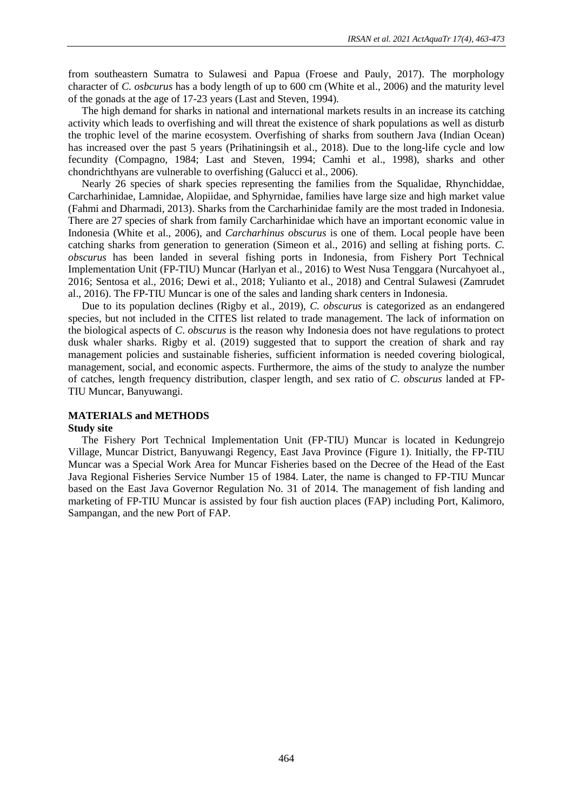from southeastern Sumatra to Sulawesi and Papua (Froese and Pauly, 2017). The morphology character of *C. osbcurus* has a body length of up to 600 cm (White et al., 2006) and the maturity level of the gonads at the age of 17-23 years (Last and Steven, 1994).

The high demand for sharks in national and international markets results in an increase its catching activity which leads to overfishing and will threat the existence of shark populations as well as disturb the trophic level of the marine ecosystem. Overfishing of sharks from southern Java (Indian Ocean) has increased over the past 5 years (Prihatiningsih et al., 2018). Due to the long-life cycle and low fecundity (Compagno, 1984; Last and Steven, 1994; Camhi et al., 1998), sharks and other chondrichthyans are vulnerable to overfishing (Galucci et al., 2006).

Nearly 26 species of shark species representing the families from the Squalidae, Rhynchiddae, Carcharhinidae, Lamnidae, Alopiidae, and Sphyrnidae, families have large size and high market value (Fahmi and Dharmadi, 2013). Sharks from the Carcharhinidae family are the most traded in Indonesia. There are 27 species of shark from family Carcharhinidae which have an important economic value in Indonesia (White et al., 2006), and *Carcharhinus obscurus* is one of them. Local people have been catching sharks from generation to generation (Simeon et al., 2016) and selling at fishing ports. *C. obscurus* has been landed in several fishing ports in Indonesia, from Fishery Port Technical Implementation Unit (FP-TIU) Muncar (Harlyan et al., 2016) to West Nusa Tenggara (Nurcahyoet al., 2016; Sentosa et al., 2016; Dewi et al., 2018; Yulianto et al., 2018) and Central Sulawesi (Zamrudet al., 2016). The FP-TIU Muncar is one of the sales and landing shark centers in Indonesia.

Due to its population declines (Rigby et al., 2019), *C. obscurus* is categorized as an endangered species, but not included in the CITES list related to trade management. The lack of information on the biological aspects of *C*. *obscurus* is the reason why Indonesia does not have regulations to protect dusk whaler sharks. Rigby et al. (2019) suggested that to support the creation of shark and ray management policies and sustainable fisheries, sufficient information is needed covering biological, management, social, and economic aspects. Furthermore, the aims of the study to analyze the number of catches, length frequency distribution, clasper length, and sex ratio of *C*. *obscurus* landed at FP-TIU Muncar, Banyuwangi.

## **MATERIALS and METHODS**

## **Study site**

The Fishery Port Technical Implementation Unit (FP-TIU) Muncar is located in Kedungrejo Village, Muncar District, Banyuwangi Regency, East Java Province (Figure 1). Initially, the FP-TIU Muncar was a Special Work Area for Muncar Fisheries based on the Decree of the Head of the East Java Regional Fisheries Service Number 15 of 1984. Later, the name is changed to FP-TIU Muncar based on the East Java Governor Regulation No. 31 of 2014. The management of fish landing and marketing of FP-TIU Muncar is assisted by four fish auction places (FAP) including Port, Kalimoro, Sampangan, and the new Port of FAP.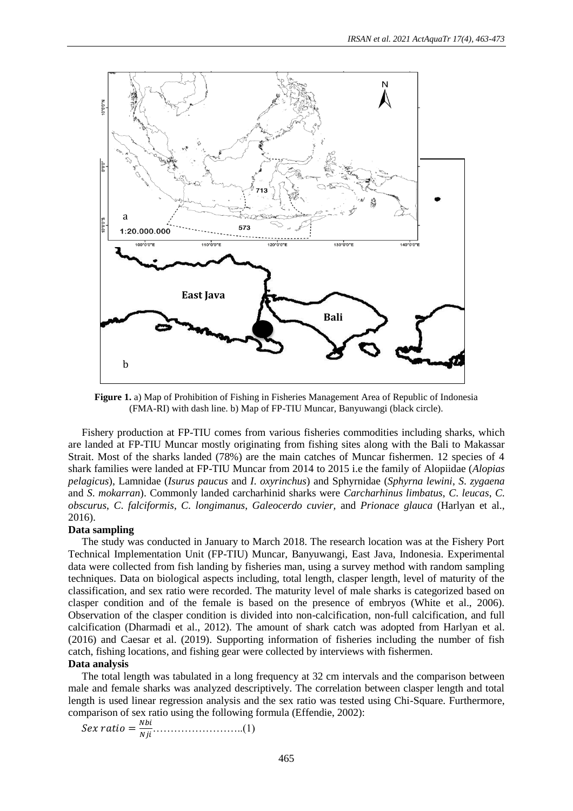

**Figure 1.** a) Map of Prohibition of Fishing in Fisheries Management Area of Republic of Indonesia (FMA-RI) with dash line. b) Map of FP-TIU Muncar, Banyuwangi (black circle).

Fishery production at FP-TIU comes from various fisheries commodities including sharks, which are landed at FP-TIU Muncar mostly originating from fishing sites along with the Bali to Makassar Strait. Most of the sharks landed (78%) are the main catches of Muncar fishermen. 12 species of 4 shark families were landed at FP-TIU Muncar from 2014 to 2015 i.e the family of Alopiidae (*Alopias pelagicus*), Lamnidae (*Isurus paucus* and *I*. *oxyrinchus*) and Sphyrnidae (*Sphyrna lewini*, *S*. *zygaena* and *S*. *mokarran*). Commonly landed carcharhinid sharks were *Carcharhinus limbatus*, *C*. *leucas*, *C*. *obscurus*, *C*. *falciformis*, *C*. *longimanus*, *Galeocerdo cuvier,* and *Prionace glauca* (Harlyan et al., 2016).

### **Data sampling**

The study was conducted in January to March 2018. The research location was at the Fishery Port Technical Implementation Unit (FP-TIU) Muncar, Banyuwangi, East Java, Indonesia. Experimental data were collected from fish landing by fisheries man, using a survey method with random sampling techniques. Data on biological aspects including, total length, clasper length, level of maturity of the classification, and sex ratio were recorded. The maturity level of male sharks is categorized based on clasper condition and of the female is based on the presence of embryos (White et al., 2006). Observation of the clasper condition is divided into non-calcification, non-full calcification, and full calcification (Dharmadi et al., 2012). The amount of shark catch was adopted from Harlyan et al. (2016) and Caesar et al. (2019). Supporting information of fisheries including the number of fish catch, fishing locations, and fishing gear were collected by interviews with fishermen.

### **Data analysis**

The total length was tabulated in a long frequency at 32 cm intervals and the comparison between male and female sharks was analyzed descriptively. The correlation between clasper length and total length is used linear regression analysis and the sex ratio was tested using Chi-Square. Furthermore, comparison of sex ratio using the following formula (Effendie, 2002):

= ……………………..(1)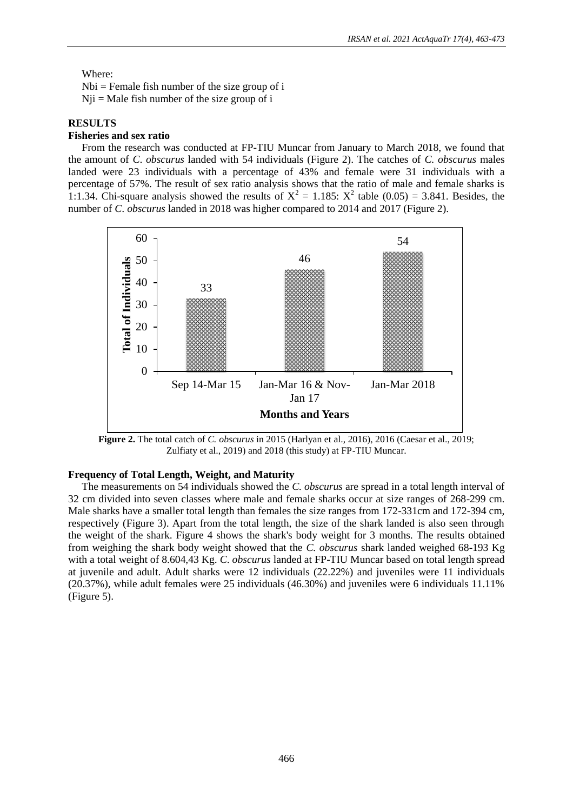## Where:

 $Nbi = Female fish number of the size group of i$  $Nji = Male fish number of the size group of i$ 

# **RESULTS**

## **Fisheries and sex ratio**

From the research was conducted at FP-TIU Muncar from January to March 2018, we found that the amount of *C*. *obscurus* landed with 54 individuals (Figure 2). The catches of *C. obscurus* males landed were 23 individuals with a percentage of 43% and female were 31 individuals with a percentage of 57%. The result of sex ratio analysis shows that the ratio of male and female sharks is 1:1.34. Chi-square analysis showed the results of  $X^2 = 1.185$ :  $X^2$  table (0.05) = 3.841. Besides, the number of *C*. *obscurus* landed in 2018 was higher compared to 2014 and 2017 (Figure 2).



**Figure 2.** The total catch of *C. obscurus* in 2015 (Harlyan et al., 2016), 2016 (Caesar et al., 2019; Zulfiaty et al., 2019) and 2018 (this study) at FP-TIU Muncar.

## **Frequency of Total Length, Weight, and Maturity**

The measurements on 54 individuals showed the *C. obscurus* are spread in a total length interval of 32 cm divided into seven classes where male and female sharks occur at size ranges of 268-299 cm. Male sharks have a smaller total length than females the size ranges from 172-331cm and 172-394 cm, respectively (Figure 3). Apart from the total length, the size of the shark landed is also seen through the weight of the shark. Figure 4 shows the shark's body weight for 3 months. The results obtained from weighing the shark body weight showed that the *C. obscurus* shark landed weighed 68-193 Kg with a total weight of 8.604,43 Kg. *C*. *obscurus* landed at FP-TIU Muncar based on total length spread at juvenile and adult. Adult sharks were 12 individuals (22.22%) and juveniles were 11 individuals (20.37%), while adult females were 25 individuals (46.30%) and juveniles were 6 individuals 11.11% (Figure 5).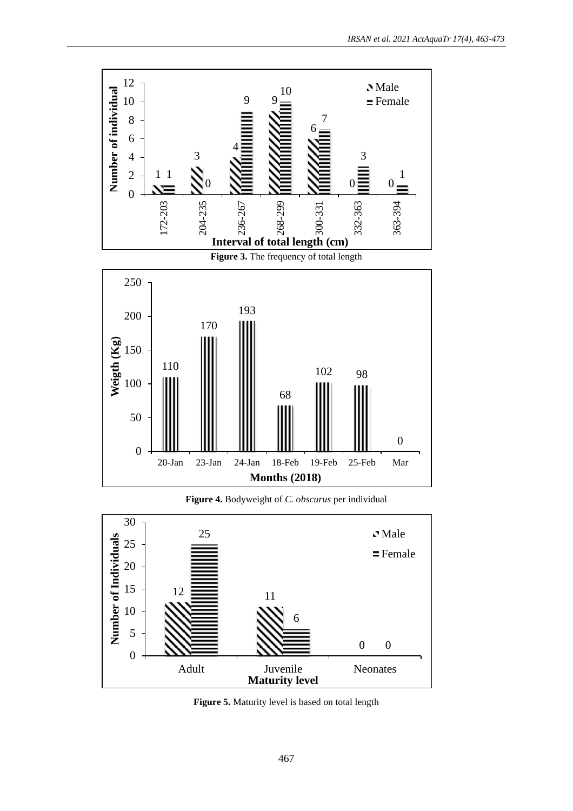



**Figure 5.** Maturity level is based on total length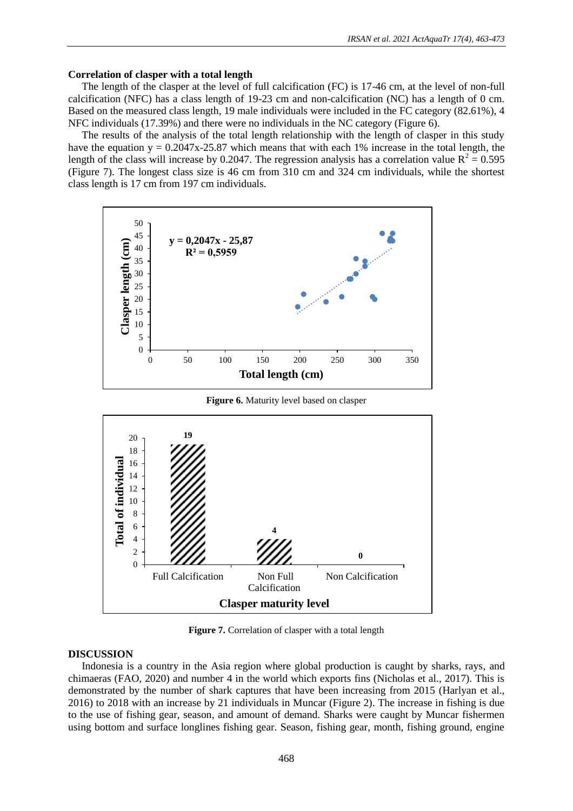## **Correlation of clasper with a total length**

The length of the clasper at the level of full calcification (FC) is 17-46 cm, at the level of non-full calcification (NFC) has a class length of 19-23 cm and non-calcification (NC) has a length of 0 cm. Based on the measured class length, 19 male individuals were included in the FC category (82.61%), 4 NFC individuals (17.39%) and there were no individuals in the NC category (Figure 6).

The results of the analysis of the total length relationship with the length of clasper in this study have the equation  $y = 0.2047x-25.87$  which means that with each 1% increase in the total length, the length of the class will increase by 0.2047. The regression analysis has a correlation value  $R^2 = 0.595$ (Figure 7). The longest class size is 46 cm from 310 cm and 324 cm individuals, while the shortest class length is 17 cm from 197 cm individuals.



**Figure 6.** Maturity level based on clasper



**Figure 7.** Correlation of clasper with a total length

## **DISCUSSION**

Indonesia is a country in the Asia region where global production is caught by sharks, rays, and chimaeras (FAO, 2020) and number 4 in the world which exports fins (Nicholas et al., 2017). This is demonstrated by the number of shark captures that have been increasing from 2015 (Harlyan et al., 2016) to 2018 with an increase by 21 individuals in Muncar (Figure 2). The increase in fishing is due to the use of fishing gear, season, and amount of demand. Sharks were caught by Muncar fishermen using bottom and surface longlines fishing gear. Season, fishing gear, month, fishing ground, engine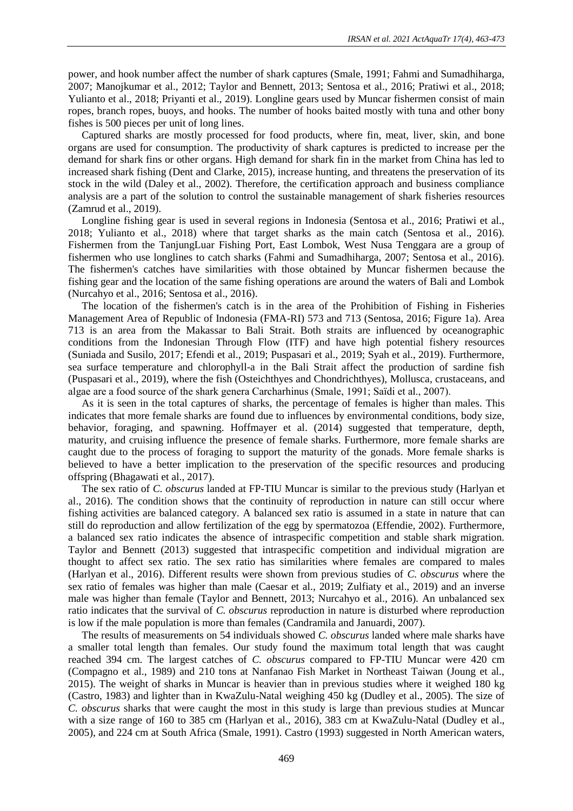power, and hook number affect the number of shark captures (Smale, 1991; Fahmi and Sumadhiharga, 2007; Manojkumar et al., 2012; Taylor and Bennett, 2013; Sentosa et al., 2016; Pratiwi et al., 2018; Yulianto et al., 2018; Priyanti et al., 2019). Longline gears used by Muncar fishermen consist of main ropes, branch ropes, buoys, and hooks. The number of hooks baited mostly with tuna and other bony fishes is 500 pieces per unit of long lines.

Captured sharks are mostly processed for food products, where fin, meat, liver, skin, and bone organs are used for consumption. The productivity of shark captures is predicted to increase per the demand for shark fins or other organs. High demand for shark fin in the market from China has led to increased shark fishing (Dent and Clarke, 2015), increase hunting, and threatens the preservation of its stock in the wild (Daley et al., 2002). Therefore, the certification approach and business compliance analysis are a part of the solution to control the sustainable management of shark fisheries resources (Zamrud et al., 2019).

Longline fishing gear is used in several regions in Indonesia (Sentosa et al., 2016; Pratiwi et al., 2018; Yulianto et al., 2018) where that target sharks as the main catch (Sentosa et al., 2016). Fishermen from the TanjungLuar Fishing Port, East Lombok, West Nusa Tenggara are a group of fishermen who use longlines to catch sharks (Fahmi and Sumadhiharga, 2007; Sentosa et al., 2016). The fishermen's catches have similarities with those obtained by Muncar fishermen because the fishing gear and the location of the same fishing operations are around the waters of Bali and Lombok (Nurcahyo et al., 2016; Sentosa et al., 2016).

The location of the fishermen's catch is in the area of the Prohibition of Fishing in Fisheries Management Area of Republic of Indonesia (FMA-RI) 573 and 713 (Sentosa, 2016; Figure 1a). Area 713 is an area from the Makassar to Bali Strait. Both straits are influenced by oceanographic conditions from the Indonesian Through Flow (ITF) and have high potential fishery resources (Suniada and Susilo, 2017; Efendi et al., 2019; Puspasari et al., 2019; Syah et al., 2019). Furthermore, sea surface temperature and chlorophyll-a in the Bali Strait affect the production of sardine fish (Puspasari et al., 2019), where the fish (Osteichthyes and Chondrichthyes), Mollusca, crustaceans, and algae are a food source of the shark genera Carcharhinus (Smale, 1991; Saïdi et al., 2007).

As it is seen in the total captures of sharks, the percentage of females is higher than males. This indicates that more female sharks are found due to influences by environmental conditions, body size, behavior, foraging, and spawning. Hoffmayer et al. (2014) suggested that temperature, depth, maturity, and cruising influence the presence of female sharks. Furthermore, more female sharks are caught due to the process of foraging to support the maturity of the gonads. More female sharks is believed to have a better implication to the preservation of the specific resources and producing offspring (Bhagawati et al., 2017).

The sex ratio of *C. obscurus* landed at FP-TIU Muncar is similar to the previous study (Harlyan et al., 2016). The condition shows that the continuity of reproduction in nature can still occur where fishing activities are balanced category. A balanced sex ratio is assumed in a state in nature that can still do reproduction and allow fertilization of the egg by spermatozoa (Effendie, 2002). Furthermore, a balanced sex ratio indicates the absence of intraspecific competition and stable shark migration. Taylor and Bennett (2013) suggested that intraspecific competition and individual migration are thought to affect sex ratio. The sex ratio has similarities where females are compared to males (Harlyan et al., 2016). Different results were shown from previous studies of *C. obscurus* where the sex ratio of females was higher than male (Caesar et al., 2019; Zulfiaty et al., 2019) and an inverse male was higher than female (Taylor and Bennett, 2013; Nurcahyo et al., 2016). An unbalanced sex ratio indicates that the survival of *C. obscurus* reproduction in nature is disturbed where reproduction is low if the male population is more than females (Candramila and Januardi, 2007).

The results of measurements on 54 individuals showed *C. obscurus* landed where male sharks have a smaller total length than females. Our study found the maximum total length that was caught reached 394 cm. The largest catches of *C. obscurus* compared to FP-TIU Muncar were 420 cm (Compagno et al., 1989) and 210 tons at Nanfanao Fish Market in Northeast Taiwan (Joung et al., 2015). The weight of sharks in Muncar is heavier than in previous studies where it weighed 180 kg (Castro, 1983) and lighter than in KwaZulu-Natal weighing 450 kg (Dudley et al., 2005). The size of *C. obscurus* sharks that were caught the most in this study is large than previous studies at Muncar with a size range of 160 to 385 cm (Harlyan et al., 2016), 383 cm at KwaZulu-Natal (Dudley et al., 2005), and 224 cm at South Africa (Smale, 1991). Castro (1993) suggested in North American waters,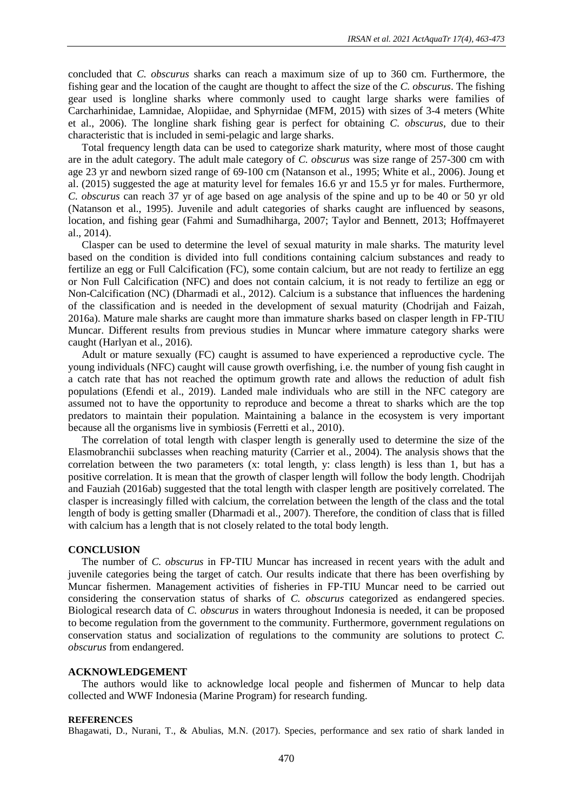concluded that *C. obscurus* sharks can reach a maximum size of up to 360 cm. Furthermore, the fishing gear and the location of the caught are thought to affect the size of the *C. obscurus*. The fishing gear used is longline sharks where commonly used to caught large sharks were families of Carcharhinidae, Lamnidae, Alopiidae, and Sphyrnidae (MFM, 2015) with sizes of 3-4 meters (White et al., 2006). The longline shark fishing gear is perfect for obtaining *C. obscurus*, due to their characteristic that is included in semi-pelagic and large sharks.

Total frequency length data can be used to categorize shark maturity, where most of those caught are in the adult category. The adult male category of *C. obscurus* was size range of 257-300 cm with age 23 yr and newborn sized range of 69-100 cm (Natanson et al., 1995; White et al., 2006). Joung et al. (2015) suggested the age at maturity level for females 16.6 yr and 15.5 yr for males. Furthermore, *C. obscurus* can reach 37 yr of age based on age analysis of the spine and up to be 40 or 50 yr old (Natanson et al., 1995). Juvenile and adult categories of sharks caught are influenced by seasons, location, and fishing gear (Fahmi and Sumadhiharga, 2007; Taylor and Bennett, 2013; Hoffmayeret al., 2014).

Clasper can be used to determine the level of sexual maturity in male sharks. The maturity level based on the condition is divided into full conditions containing calcium substances and ready to fertilize an egg or Full Calcification (FC), some contain calcium, but are not ready to fertilize an egg or Non Full Calcification (NFC) and does not contain calcium, it is not ready to fertilize an egg or Non-Calcification (NC) (Dharmadi et al., 2012). Calcium is a substance that influences the hardening of the classification and is needed in the development of sexual maturity (Chodrijah and Faizah, 2016a). Mature male sharks are caught more than immature sharks based on clasper length in FP-TIU Muncar. Different results from previous studies in Muncar where immature category sharks were caught (Harlyan et al., 2016).

Adult or mature sexually (FC) caught is assumed to have experienced a reproductive cycle. The young individuals (NFC) caught will cause growth overfishing, i.e. the number of young fish caught in a catch rate that has not reached the optimum growth rate and allows the reduction of adult fish populations (Efendi et al., 2019). Landed male individuals who are still in the NFC category are assumed not to have the opportunity to reproduce and become a threat to sharks which are the top predators to maintain their population. Maintaining a balance in the ecosystem is very important because all the organisms live in symbiosis (Ferretti et al., 2010).

The correlation of total length with clasper length is generally used to determine the size of the Elasmobranchii subclasses when reaching maturity (Carrier et al., 2004). The analysis shows that the correlation between the two parameters (x: total length, y: class length) is less than 1, but has a positive correlation. It is mean that the growth of clasper length will follow the body length. Chodrijah and Fauziah (2016ab) suggested that the total length with clasper length are positively correlated. The clasper is increasingly filled with calcium, the correlation between the length of the class and the total length of body is getting smaller (Dharmadi et al., 2007). Therefore, the condition of class that is filled with calcium has a length that is not closely related to the total body length.

### **CONCLUSION**

The number of *C. obscurus* in FP-TIU Muncar has increased in recent years with the adult and juvenile categories being the target of catch. Our results indicate that there has been overfishing by Muncar fishermen. Management activities of fisheries in FP-TIU Muncar need to be carried out considering the conservation status of sharks of *C. obscurus* categorized as endangered species. Biological research data of *C. obscurus* in waters throughout Indonesia is needed, it can be proposed to become regulation from the government to the community. Furthermore, government regulations on conservation status and socialization of regulations to the community are solutions to protect *C. obscurus* from endangered.

## **ACKNOWLEDGEMENT**

The authors would like to acknowledge local people and fishermen of Muncar to help data collected and WWF Indonesia (Marine Program) for research funding.

#### **REFERENCES**

Bhagawati, D., Nurani, T., & Abulias, M.N. (2017). Species, performance and sex ratio of shark landed in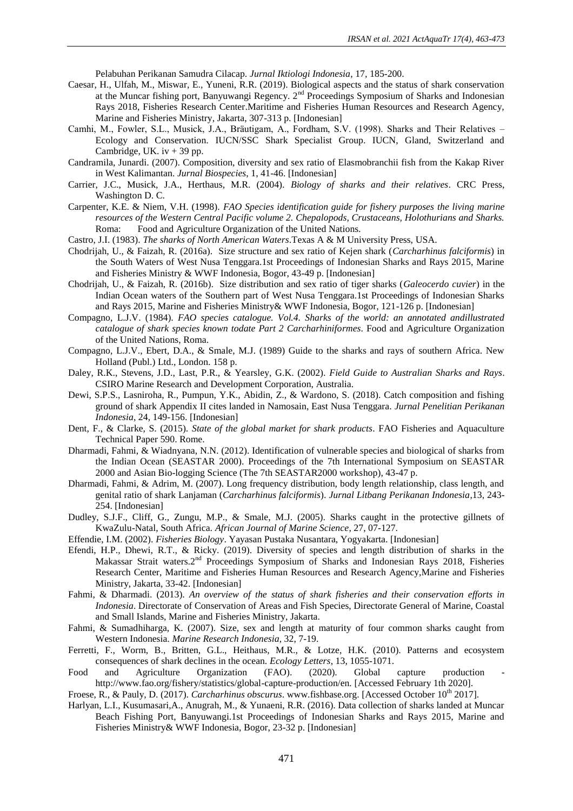Pelabuhan Perikanan Samudra Cilacap. *Jurnal Iktiologi Indonesia*, 17, 185-200.

- Caesar, H., Ulfah, M., Miswar, E., Yuneni, R.R. (2019). Biological aspects and the status of shark conservation at the Muncar fishing port, Banyuwangi Regency. 2<sup>nd</sup> Proceedings Symposium of Sharks and Indonesian Rays 2018, Fisheries Research Center.Maritime and Fisheries Human Resources and Research Agency, Marine and Fisheries Ministry, Jakarta, 307-313 p. [Indonesian]
- Camhi, M., Fowler, S.L., Musick, J.A., Bräutigam, A., Fordham, S.V. (1998). Sharks and Their Relatives Ecology and Conservation. IUCN/SSC Shark Specialist Group. IUCN, Gland, Switzerland and Cambridge, UK.  $iv + 39$  pp.
- Candramila, Junardi. (2007). Composition, diversity and sex ratio of Elasmobranchii fish from the Kakap River in West Kalimantan. *Jurnal Biospecies*, 1, 41-46. [Indonesian]
- Carrier, J.C., Musick, J.A., Herthaus, M.R. (2004). *Biology of sharks and their relatives*. CRC Press, Washington D. C.
- Carpenter, K.E. & Niem, V.H. (1998). *FAO Species identification guide for fishery purposes the living marine resources of the Western Central Pacific volume 2. Chepalopods, Crustaceans, Holothurians and Sharks.* Roma: Food and Agriculture Organization of the United Nations.
- Castro, J.I. (1983). *The sharks of North American Waters*.Texas A & M University Press, USA.
- Chodrijah, U., & Faizah, R. (2016a). Size structure and sex ratio of Kejen shark (*Carcharhinus falciformis*) in the South Waters of West Nusa Tenggara.1st Proceedings of Indonesian Sharks and Rays 2015, Marine and Fisheries Ministry & WWF Indonesia, Bogor, 43-49 p. [Indonesian]
- Chodrijah, U., & Faizah, R. (2016b). Size distribution and sex ratio of tiger sharks (*Galeocerdo cuvier*) in the Indian Ocean waters of the Southern part of West Nusa Tenggara.1st Proceedings of Indonesian Sharks and Rays 2015, Marine and Fisheries Ministry& WWF Indonesia, Bogor, 121-126 p. [Indonesian]
- Compagno, L.J.V. (1984). *FAO species catalogue. Vol.4. Sharks of the world: an annotated andillustrated catalogue of shark species known todate Part 2 Carcharhiniformes*. Food and Agriculture Organization of the United Nations, Roma.
- Compagno, L.J.V., Ebert, D.A., & Smale, M.J. (1989) Guide to the sharks and rays of southern Africa. New Holland (Publ.) Ltd., London. 158 p.
- Daley, R.K., Stevens, J.D., Last, P.R., & Yearsley, G.K. (2002). *Field Guide to Australian Sharks and Rays*. CSIRO Marine Research and Development Corporation, Australia.
- Dewi, S.P.S., Lasniroha, R., Pumpun, Y.K., Abidin, Z., & Wardono, S. (2018). Catch composition and fishing ground of shark Appendix II cites landed in Namosain, East Nusa Tenggara. *Jurnal Penelitian Perikanan Indonesia*, 24, 149-156. [Indonesian]
- Dent, F., & Clarke, S. (2015). *State of the global market for shark products*. FAO Fisheries and Aquaculture Technical Paper 590. Rome.
- Dharmadi, Fahmi, & Wiadnyana, N.N. (2012). Identification of vulnerable species and biological of sharks from the Indian Ocean (SEASTAR 2000). Proceedings of the 7th International Symposium on SEASTAR 2000 and Asian Bio-logging Science (The 7th SEASTAR2000 workshop), 43-47 p.
- Dharmadi, Fahmi, & Adrim, M. (2007). Long frequency distribution, body length relationship, class length, and genital ratio of shark Lanjaman (*Carcharhinus falciformis*). *Jurnal Litbang Perikanan Indonesia*,13, 243- 254. [Indonesian]
- Dudley, S.J.F., Cliff, G., Zungu, M.P., & Smale, M.J. (2005). Sharks caught in the protective gillnets of KwaZulu-Natal, South Africa. *African Journal of Marine Science*, 27, 07-127.
- Effendie, I.M. (2002). *Fisheries Biology*. Yayasan Pustaka Nusantara, Yogyakarta. [Indonesian]
- Efendi, H.P., Dhewi, R.T., & Ricky. (2019). Diversity of species and length distribution of sharks in the Makassar Strait waters.2<sup>nd</sup> Proceedings Symposium of Sharks and Indonesian Rays 2018, Fisheries Research Center, Maritime and Fisheries Human Resources and Research Agency,Marine and Fisheries Ministry, Jakarta, 33-42. [Indonesian]
- Fahmi, & Dharmadi. (2013). *An overview of the status of shark fisheries and their conservation efforts in Indonesia*. Directorate of Conservation of Areas and Fish Species, Directorate General of Marine, Coastal and Small Islands, Marine and Fisheries Ministry, Jakarta.
- Fahmi, & Sumadhiharga, K. (2007). Size, sex and length at maturity of four common sharks caught from Western Indonesia. *Marine Research Indonesia*, 32, 7-19.
- Ferretti, F., Worm, B., Britten, G.L., Heithaus, M.R., & Lotze, H.K. (2010). Patterns and ecosystem consequences of shark declines in the ocean. *Ecology Letters*, 13, 1055-1071.
- Food and Agriculture Organization (FAO). (2020). Global capture production http://www.fao.org/fishery/statistics/global-capture-production/en*.* [Accessed February 1th 2020].
- Froese, R., & Pauly, D. (2017). *Carcharhinus obscurus*. [www.fishbase.org.](http://www.fishbase.org/) [Accessed October 10<sup>th</sup> 2017].
- Harlyan, L.I., Kusumasari,A., Anugrah, M., & Yunaeni, R.R. (2016). Data collection of sharks landed at Muncar Beach Fishing Port, Banyuwangi.1st Proceedings of Indonesian Sharks and Rays 2015, Marine and Fisheries Ministry& WWF Indonesia, Bogor, 23-32 p. [Indonesian]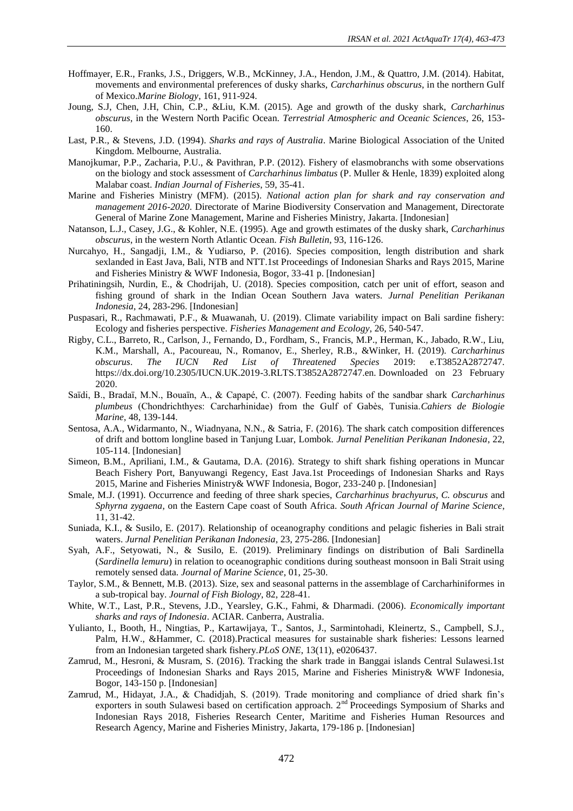- Hoffmayer, E.R., Franks, J.S., Driggers, W.B., McKinney, J.A., Hendon, J.M., & Quattro, J.M. (2014). Habitat, movements and environmental preferences of dusky sharks, *Carcharhinus obscurus*, in the northern Gulf of Mexico.*Marine Biology*, 161, 911-924.
- Joung, S.J, Chen, J.H, Chin, C.P., &Liu, K.M. (2015). Age and growth of the dusky shark, *Carcharhinus obscurus*, in the Western North Pacific Ocean. *Terrestrial Atmospheric and Oceanic Sciences*, 26, 153- 160.
- Last, P.R., & Stevens, J.D. (1994). *Sharks and rays of Australia*. Marine Biological Association of the United Kingdom. Melbourne, Australia.
- Manojkumar, P.P., Zacharia, P.U., & Pavithran, P.P. (2012). Fishery of elasmobranchs with some observations on the biology and stock assessment of *Carcharhinus limbatus* (P. Muller & Henle, 1839) exploited along Malabar coast. *Indian Journal of Fisheries*, 59, 35-41.
- Marine and Fisheries Ministry (MFM). (2015). *National action plan for shark and ray conservation and management 2016-2020*. Directorate of Marine Biodiversity Conservation and Management, Directorate General of Marine Zone Management, Marine and Fisheries Ministry, Jakarta. [Indonesian]
- Natanson, L.J., Casey, J.G., & Kohler, N.E. (1995). Age and growth estimates of the dusky shark, *Carcharhinus obscurus*, in the western North Atlantic Ocean. *Fish Bulletin*, 93, 116-126.
- Nurcahyo, H., Sangadji, I.M., & Yudiarso, P. (2016). Species composition, length distribution and shark sexlanded in East Java, Bali, NTB and NTT.1st Proceedings of Indonesian Sharks and Rays 2015, Marine and Fisheries Ministry & WWF Indonesia, Bogor, 33-41 p. [Indonesian]
- Prihatiningsih, Nurdin, E., & Chodrijah, U. (2018). Species composition, catch per unit of effort, season and fishing ground of shark in the Indian Ocean Southern Java waters. *Jurnal Penelitian Perikanan Indonesia*, 24, 283-296. [Indonesian]
- Puspasari, R., Rachmawati, P.F., & Muawanah, U. (2019). Climate variability impact on Bali sardine fishery: Ecology and fisheries perspective. *Fisheries Management and Ecology*, 26, 540-547.
- Rigby, C.L., Barreto, R., Carlson, J., Fernando, D., Fordham, S., Francis, M.P., Herman, K., Jabado, R.W., Liu, K.M., Marshall, A., Pacoureau, N., Romanov, E., Sherley, R.B., &Winker, H. (2019). *Carcharhinus obscurus*. *The IUCN Red List of Threatened Species* 2019: e.T3852A2872747. https://dx.doi.org/10.2305/IUCN.UK.2019-3.RLTS.T3852A2872747.en. Downloaded on 23 February 2020.
- Saïdi, B., Bradaï, M.N., Bouaïn, A., & Capapé, C. (2007). Feeding habits of the sandbar shark *Carcharhinus plumbeus* (Chondrichthyes: Carcharhinidae) from the Gulf of Gabès, Tunisia.*Cahiers de Biologie Marine*, 48, 139-144.
- Sentosa, A.A., Widarmanto, N., Wiadnyana, N.N., & Satria, F. (2016). The shark catch composition differences of drift and bottom longline based in Tanjung Luar, Lombok. *Jurnal Penelitian Perikanan Indonesia*, 22, 105-114. [Indonesian]
- Simeon, B.M., Apriliani, I.M., & Gautama, D.A. (2016). Strategy to shift shark fishing operations in Muncar Beach Fishery Port, Banyuwangi Regency, East Java.1st Proceedings of Indonesian Sharks and Rays 2015, Marine and Fisheries Ministry& WWF Indonesia, Bogor, 233-240 p. [Indonesian]
- Smale, M.J. (1991). Occurrence and feeding of three shark species, *Carcharhinus brachyurus*, *C. obscurus* and *Sphyrna zygaena*, on the Eastern Cape coast of South Africa. *South African Journal of Marine Science*, 11, 31-42.
- Suniada, K.I., & Susilo, E. (2017). Relationship of oceanography conditions and pelagic fisheries in Bali strait waters. *Jurnal Penelitian Perikanan Indonesia*, 23, 275-286. [Indonesian]
- Syah, A.F., Setyowati, N., & Susilo, E. (2019). Preliminary findings on distribution of Bali Sardinella (*Sardinella lemuru*) in relation to oceanographic conditions during southeast monsoon in Bali Strait using remotely sensed data. *Journal of Marine Science*, 01, 25-30.
- Taylor, S.M., & Bennett, M.B. (2013). Size, sex and seasonal patterns in the assemblage of Carcharhiniformes in a sub-tropical bay. *Journal of Fish Biology*, 82, 228-41.
- White, W.T., Last, P.R., Stevens, J.D., Yearsley, G.K., Fahmi, & Dharmadi. (2006). *Economically important sharks and rays of Indonesia*. ACIAR. Canberra, Australia.
- Yulianto, I., Booth, H., Ningtias, P., Kartawijaya, T., Santos, J., Sarmintohadi, Kleinertz, S., Campbell, S.J., Palm, H.W., &Hammer, C. (2018).Practical measures for sustainable shark fisheries: Lessons learned from an Indonesian targeted shark fishery.*PLoS ONE*, 13(11), e0206437.
- Zamrud, M., Hesroni, & Musram, S. (2016). Tracking the shark trade in Banggai islands Central Sulawesi.1st Proceedings of Indonesian Sharks and Rays 2015, Marine and Fisheries Ministry& WWF Indonesia, Bogor, 143-150 p. [Indonesian]
- Zamrud, M., Hidayat, J.A., & Chadidjah, S. (2019). Trade monitoring and compliance of dried shark fin's exporters in south Sulawesi based on certification approach.  $2<sup>nd</sup>$  Proceedings Symposium of Sharks and Indonesian Rays 2018, Fisheries Research Center, Maritime and Fisheries Human Resources and Research Agency, Marine and Fisheries Ministry, Jakarta, 179-186 p. [Indonesian]